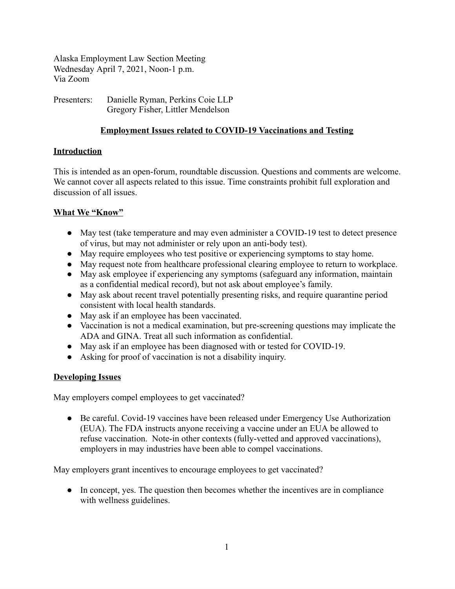Alaska Employment Law Section Meeting Wednesday April 7, 2021, Noon-1 p.m. Via Zoom

Presenters: Danielle Ryman, Perkins Coie LLP Gregory Fisher, Littler Mendelson

# **Employment Issues related to COVID-19 Vaccinations and Testing**

# **Introduction**

This is intended as an open-forum, roundtable discussion. Questions and comments are welcome. We cannot cover all aspects related to this issue. Time constraints prohibit full exploration and discussion of all issues.

### **What We "Know"**

- May test (take temperature and may even administer a COVID-19 test to detect presence of virus, but may not administer or rely upon an anti-body test).
- May require employees who test positive or experiencing symptoms to stay home.
- May request note from healthcare professional clearing employee to return to workplace.
- May ask employee if experiencing any symptoms (safeguard any information, maintain as a confidential medical record), but not ask about employee's family.
- May ask about recent travel potentially presenting risks, and require quarantine period consistent with local health standards.
- May ask if an employee has been vaccinated.
- Vaccination is not a medical examination, but pre-screening questions may implicate the ADA and GINA. Treat all such information as confidential.
- May ask if an employee has been diagnosed with or tested for COVID-19.
- Asking for proof of vaccination is not a disability inquiry.

#### **Developing Issues**

May employers compel employees to get vaccinated?

• Be careful. Covid-19 vaccines have been released under Emergency Use Authorization (EUA). The FDA instructs anyone receiving a vaccine under an EUA be allowed to refuse vaccination. Note-in other contexts (fully-vetted and approved vaccinations), employers in may industries have been able to compel vaccinations.

May employers grant incentives to encourage employees to get vaccinated?

• In concept, yes. The question then becomes whether the incentives are in compliance with wellness guidelines.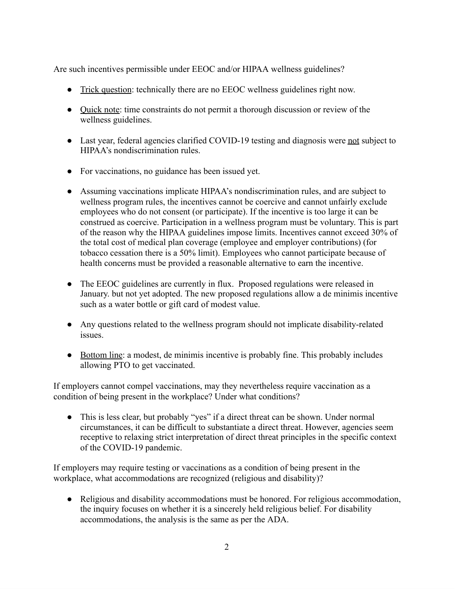Are such incentives permissible under EEOC and/or HIPAA wellness guidelines?

- Trick question: technically there are no EEOC wellness guidelines right now.
- Quick note: time constraints do not permit a thorough discussion or review of the wellness guidelines.
- Last year, federal agencies clarified COVID-19 testing and diagnosis were not subject to HIPAA's nondiscrimination rules.
- For vaccinations, no guidance has been issued yet.
- Assuming vaccinations implicate HIPAA's nondiscrimination rules, and are subject to wellness program rules, the incentives cannot be coercive and cannot unfairly exclude employees who do not consent (or participate). If the incentive is too large it can be construed as coercive. Participation in a wellness program must be voluntary. This is part of the reason why the HIPAA guidelines impose limits. Incentives cannot exceed 30% of the total cost of medical plan coverage (employee and employer contributions) (for tobacco cessation there is a 50% limit). Employees who cannot participate because of health concerns must be provided a reasonable alternative to earn the incentive.
- The EEOC guidelines are currently in flux. Proposed regulations were released in January. but not yet adopted. The new proposed regulations allow a de minimis incentive such as a water bottle or gift card of modest value.
- Any questions related to the wellness program should not implicate disability-related issues.
- Bottom line: a modest, de minimis incentive is probably fine. This probably includes allowing PTO to get vaccinated.

If employers cannot compel vaccinations, may they nevertheless require vaccination as a condition of being present in the workplace? Under what conditions?

• This is less clear, but probably "yes" if a direct threat can be shown. Under normal circumstances, it can be difficult to substantiate a direct threat. However, agencies seem receptive to relaxing strict interpretation of direct threat principles in the specific context of the COVID-19 pandemic.

If employers may require testing or vaccinations as a condition of being present in the workplace, what accommodations are recognized (religious and disability)?

● Religious and disability accommodations must be honored. For religious accommodation, the inquiry focuses on whether it is a sincerely held religious belief. For disability accommodations, the analysis is the same as per the ADA.